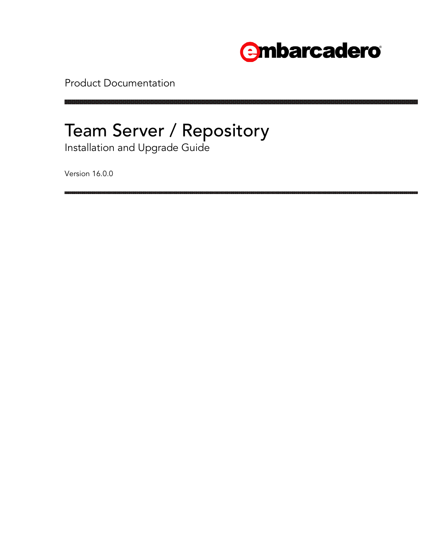

Product Documentation

# Team Server / Repository

Installation and Upgrade Guide

Version 16.0.0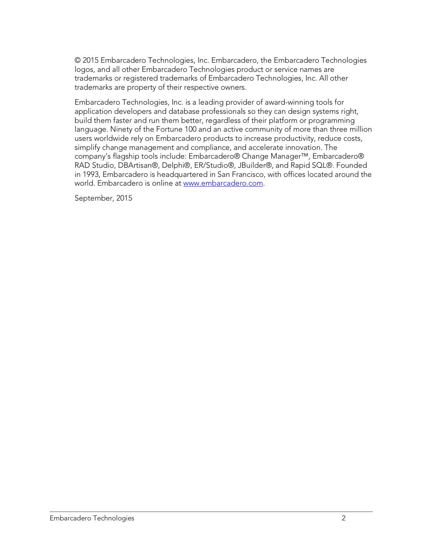© 2015 Embarcadero Technologies, Inc. Embarcadero, the Embarcadero Technologies logos, and all other Embarcadero Technologies product or service names are trademarks or registered trademarks of Embarcadero Technologies, Inc. All other trademarks are property of their respective owners.

Embarcadero Technologies, Inc. is a leading provider of award-winning tools for application developers and database professionals so they can design systems right, build them faster and run them better, regardless of their platform or programming language. Ninety of the Fortune 100 and an active community of more than three million users worldwide rely on Embarcadero products to increase productivity, reduce costs, simplify change management and compliance, and accelerate innovation. The company's flagship tools include: Embarcadero® Change Manager™, Embarcadero® RAD Studio, DBArtisan®, Delphi®, ER/Studio®, JBuilder®, and Rapid SQL®. Founded in 1993, Embarcadero is headquartered in San Francisco, with offices located around the world. Embarcadero is online at [www.embarcadero.com.](http://www.embarcadero.com/)

September, 2015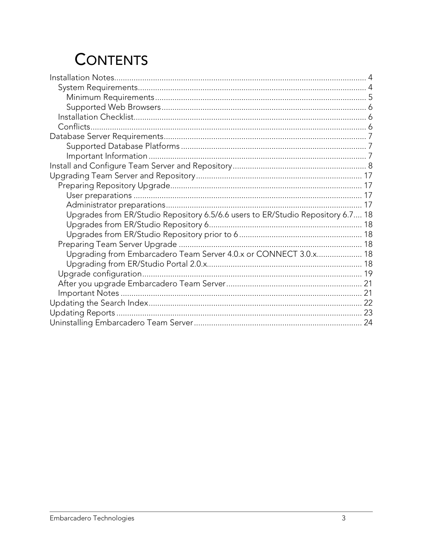## **CONTENTS**

| Upgrades from ER/Studio Repository 6.5/6.6 users to ER/Studio Repository 6.7 18 |  |
|---------------------------------------------------------------------------------|--|
|                                                                                 |  |
|                                                                                 |  |
|                                                                                 |  |
| Upgrading from Embarcadero Team Server 4.0.x or CONNECT 3.0.x 18                |  |
|                                                                                 |  |
|                                                                                 |  |
|                                                                                 |  |
|                                                                                 |  |
|                                                                                 |  |
|                                                                                 |  |
|                                                                                 |  |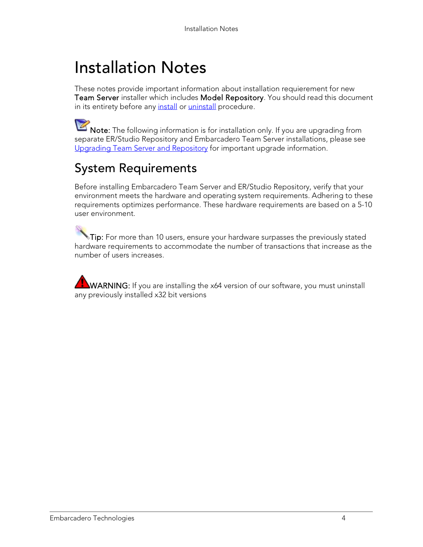## <span id="page-3-0"></span>Installation Notes

These notes provide important information about installation requierement for new Team Server installer which includes Model Repository. You should read this document in its entirety before any *install* or *uninstall* procedure.

Note: The following information is for installation only. If you are upgrading from separate ER/Studio Repository and Embarcadero Team Server installations, please see [Upgrading Team Server](#page-16-0) and Repository for important upgrade information.

### <span id="page-3-1"></span>System Requirements

Before installing Embarcadero Team Server and ER/Studio Repository, verify that your environment meets the hardware and operating system requirements. Adhering to these requirements optimizes performance. These hardware requirements are based on a 5-10 user environment.

 $\sqrt[3]{\text{Tip}}}$ : For more than 10 users, ensure your hardware surpasses the previously stated hardware requirements to accommodate the number of transactions that increase as the number of users increases.

WARNING: If you are installing the x64 version of our software, you must uninstall any previously installed x32 bit versions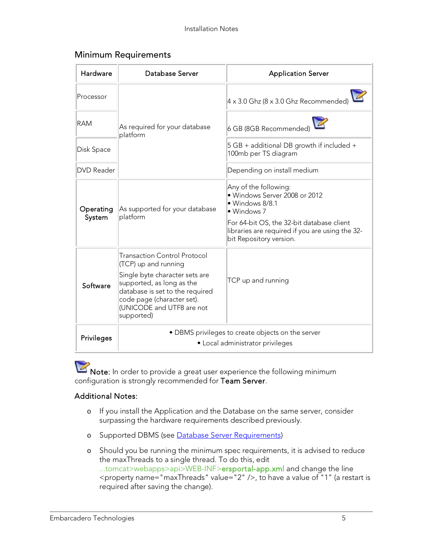#### <span id="page-4-0"></span>Minimum Requirements

| Hardware            | Database Server                                                                                                                                                                                                                        | <b>Application Server</b>                                                                                                                                                                                           |
|---------------------|----------------------------------------------------------------------------------------------------------------------------------------------------------------------------------------------------------------------------------------|---------------------------------------------------------------------------------------------------------------------------------------------------------------------------------------------------------------------|
| Processor           |                                                                                                                                                                                                                                        | $4 \times 3.0$ Ghz (8 x 3.0 Ghz Recommended)                                                                                                                                                                        |
| <b>RAM</b>          | As required for your database<br>platform                                                                                                                                                                                              | 6 GB (8GB Recommended)                                                                                                                                                                                              |
| Disk Space          |                                                                                                                                                                                                                                        | $5 GB + additional DB growth if included +$<br>100mb per TS diagram                                                                                                                                                 |
| <b>DVD</b> Reader   |                                                                                                                                                                                                                                        | Depending on install medium                                                                                                                                                                                         |
| Operating<br>System | As supported for your database<br>platform                                                                                                                                                                                             | Any of the following:<br>· Windows Server 2008 or 2012<br>· Windows 8/8.1<br>· Windows 7<br>For 64-bit OS, the 32-bit database client<br>libraries are required if you are using the 32-<br>bit Repository version. |
| Software            | <b>Transaction Control Protocol</b><br>(TCP) up and running<br>Single byte character sets are<br>supported, as long as the<br>database is set to the required<br>code page (character set).<br>(UNICODE and UTF8 are not<br>supported) | TCP up and running                                                                                                                                                                                                  |
| Privileges          |                                                                                                                                                                                                                                        | • DBMS privileges to create objects on the server<br>• Local administrator privileges                                                                                                                               |

Note: In order to provide a great user experience the following minimum configuration is strongly recommended for Team Server.

#### Additional Notes:

- o If you install the Application and the Database on the same server, consider surpassing the hardware requirements described previously.
- o Supported DBMS (see [Database Server Requirements\)](#page-6-0)
- o Should you be running the minimum spec requirements, it is advised to reduce the maxThreads to a single thread. To do this, edit ...tomcat>webapps>api>WEB-INF>ersportal-app.xml and change the line <property name="maxThreads" value="2" />, to have a value of "1" (a restart is required after saving the change).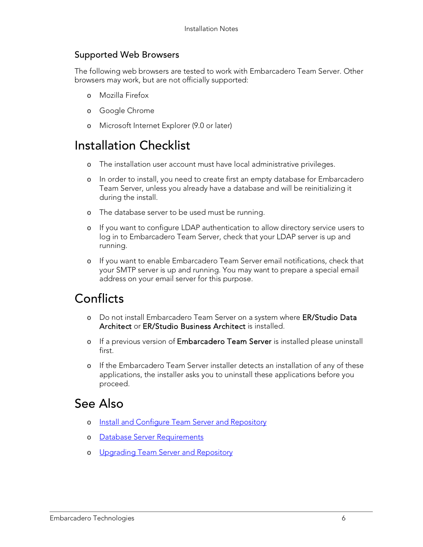#### <span id="page-5-0"></span>Supported Web Browsers

The following web browsers are tested to work with Embarcadero Team Server. Other browsers may work, but are not officially supported:

- o Mozilla Firefox
- o Google Chrome
- o Microsoft Internet Explorer (9.0 or later)

### <span id="page-5-1"></span>Installation Checklist

- o The installation user account must have local administrative privileges.
- o In order to install, you need to create first an empty database for Embarcadero Team Server, unless you already have a database and will be reinitializing it during the install.
- o The database server to be used must be running.
- o If you want to configure LDAP authentication to allow directory service users to log in to Embarcadero Team Server, check that your LDAP server is up and running.
- o If you want to enable Embarcadero Team Server email notifications, check that your SMTP server is up and running. You may want to prepare a special email address on your email server for this purpose.

### <span id="page-5-2"></span>**Conflicts**

- o Do not install Embarcadero Team Server on a system where ER/Studio Data Architect or ER/Studio Business Architect is installed.
- o If a previous version of Embarcadero Team Server is installed please uninstall first.
- o If the Embarcadero Team Server installer detects an installation of any of these applications, the installer asks you to uninstall these applications before you proceed.

- o [Install and Configure Team Server and Repository](#page-7-0)
- o [Database Server Requirements](#page-6-0)
- o [Upgrading Team Server and Repository](#page-16-0)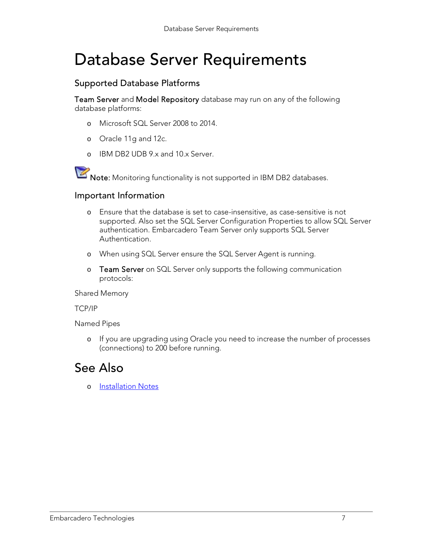## <span id="page-6-0"></span>Database Server Requirements

### <span id="page-6-1"></span>Supported Database Platforms

Team Server and Model Repository database may run on any of the following database platforms:

- o Microsoft SQL Server 2008 to 2014.
- o Oracle 11g and 12c.
- o IBM DB2 UDB 9.x and 10.x Server.

Note: Monitoring functionality is not supported in IBM DB2 databases.

#### <span id="page-6-2"></span>Important Information

- o Ensure that the database is set to case-insensitive, as case-sensitive is not supported. Also set the SQL Server Configuration Properties to allow SQL Server authentication. Embarcadero Team Server only supports SQL Server Authentication.
- o When using SQL Server ensure the SQL Server Agent is running.
- o Team Server on SQL Server only supports the following communication protocols:

Shared Memory

TCP/IP

Named Pipes

o If you are upgrading using Oracle you need to increase the number of processes (connections) to 200 before running.

### See Also

o [Installation Notes](#page-3-0)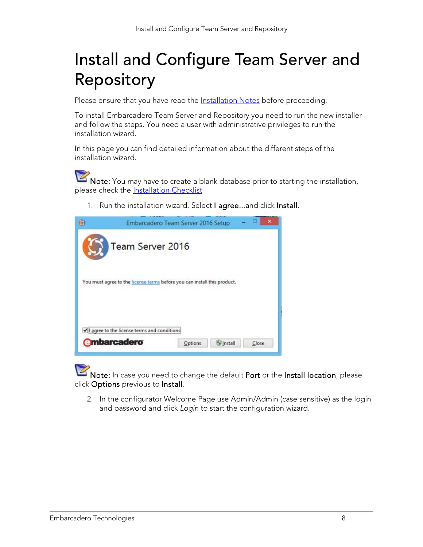## <span id="page-7-0"></span>Install and Configure Team Server and Repository

Please ensure that you have read the **Installation Notes** before proceeding.

To install Embarcadero Team Server and Repository you need to run the new installer and follow the steps. You need a user with administrative privileges to run the installation wizard.

In this page you can find detailed information about the different steps of the installation wizard.

Note: You may have to create a blank database prior to starting the installation, please check the **Installation Checklist** 

1. Run the installation wizard. Select I agree...and click Install.

| 76 |                                                                          | Embarcadero Team Server 2016 Setup |  |
|----|--------------------------------------------------------------------------|------------------------------------|--|
|    | Team Server 2016                                                         |                                    |  |
|    | You must agree to the license terms before you can install this product. |                                    |  |
|    | I agree to the license terms and conditions                              |                                    |  |
|    |                                                                          |                                    |  |

Note: In case you need to change the default Port or the Install location, please click Options previous to Install.

2. In the configurator Welcome Page use Admin/Admin (case sensitive) as the login and password and click *Login* to start the configuration wizard.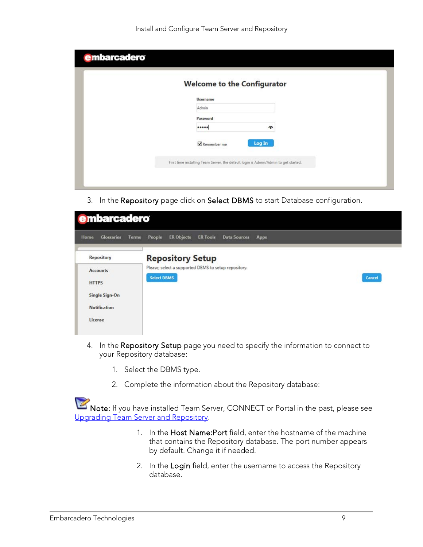|  | <b>Welcome to the Configurator</b> |                     |  |
|--|------------------------------------|---------------------|--|
|  | <b>Username</b>                    |                     |  |
|  | Admin                              |                     |  |
|  | Password                           |                     |  |
|  |                                    | $\hat{\phantom{a}}$ |  |
|  | Remember me                        | Log In              |  |

3. In the Repository page click on Select DBMS to start Database configuration.

| <b>e</b> mbarcadero         |                                                                                      |
|-----------------------------|--------------------------------------------------------------------------------------|
| Home<br>Glossaries<br>Terms | <b>ER Objects</b><br>People<br><b>ER Tools</b><br><b>Data Sources</b><br><b>Apps</b> |
| Repository                  | <b>Repository Setup</b>                                                              |
| <b>Accounts</b>             | Please, select a supported DBMS to setup repository.                                 |
| <b>HTTPS</b>                | <b>Select DBMS</b><br>Cancel                                                         |
| Single Sign-On              |                                                                                      |
| <b>Notification</b>         |                                                                                      |
| License                     |                                                                                      |
|                             |                                                                                      |

- 4. In the Repository Setup page you need to specify the information to connect to your Repository database:
	- 1. Select the DBMS type.
	- 2. Complete the information about the Repository database:

Note: If you have installed Team Server, CONNECT or Portal in the past, please see [Upgrading Team Server and Repository.](#page-16-0)

- 1. In the Host Name: Port field, enter the hostname of the machine that contains the Repository database. The port number appears by default. Change it if needed.
- 2. In the Login field, enter the username to access the Repository database.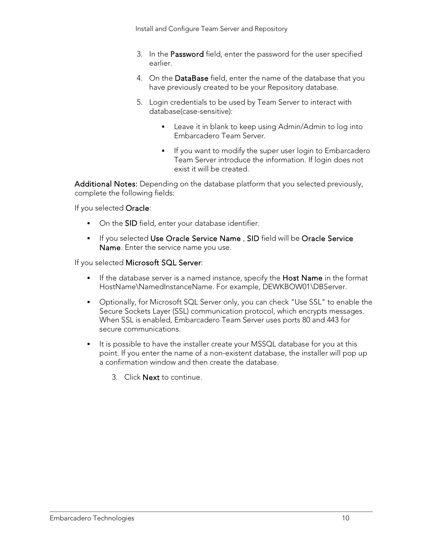- 3. In the Password field, enter the password for the user specified earlier.
- 4. On the DataBase field, enter the name of the database that you have previously created to be your Repository database.
- 5. Login credentials to be used by Team Server to interact with database(case-sensitive):
	- **EXEC** Leave it in blank to keep using Admin/Admin to log into Embarcadero Team Server.
	- If you want to modify the super user login to Embarcadero Team Server introduce the information. If login does not exist it will be created.

Additional Notes: Depending on the database platform that you selected previously, complete the following fields:

If you selected Oracle:

- On the SID field, enter your database identifier.
- **If you selected Use Oracle Service Name, SID** field will be Oracle Service Name. Enter the service name you use.

If you selected Microsoft SQL Server:

- If the database server is a named instance, specify the **Host Name** in the format HostName\NamedInstanceName. For example, DEWKBOW01\DBServer.
- Optionally, for Microsoft SQL Server only, you can check "Use SSL" to enable the Secure Sockets Layer (SSL) communication protocol, which encrypts messages. When SSL is enabled, Embarcadero Team Server uses ports 80 and 443 for secure communications.
- It is possible to have the installer create your MSSQL database for you at this point. If you enter the name of a non-existent database, the installer will pop up a confirmation window and then create the database.
	- 3. Click Next to continue.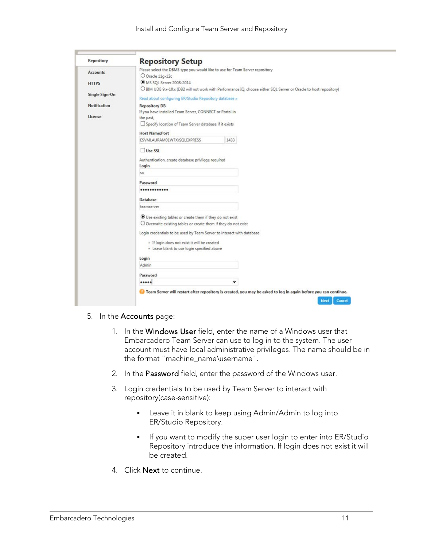| Repository          | <b>Repository Setup</b>                                                      |      |                                                                                                                   |  |
|---------------------|------------------------------------------------------------------------------|------|-------------------------------------------------------------------------------------------------------------------|--|
| <b>Accounts</b>     | Please select the DBMS type you would like to use for Team Server repository |      |                                                                                                                   |  |
|                     | O Oracle 11g-12c                                                             |      |                                                                                                                   |  |
| <b>HTTPS</b>        | MS SQL Server 2008-2014                                                      |      |                                                                                                                   |  |
|                     |                                                                              |      | O IBM UDB 9.x-10.x (DB2 will not work with Performance IQ, choose either SQL Server or Oracle to host repository) |  |
| Single Sign-On      | Read about configuring ER/Studio Repository database »                       |      |                                                                                                                   |  |
| <b>Notification</b> | <b>Repository DB</b>                                                         |      |                                                                                                                   |  |
|                     | If you have installed Team Server, CONNECT or Portal in                      |      |                                                                                                                   |  |
| License             | the past.                                                                    |      |                                                                                                                   |  |
|                     | Specify location of Team Server database if it exists                        |      |                                                                                                                   |  |
|                     | <b>Host Name:Port</b>                                                        |      |                                                                                                                   |  |
|                     | ESVMLAURAM01W7X\SQLEXPRESS                                                   | 1433 |                                                                                                                   |  |
|                     | Use SSL                                                                      |      |                                                                                                                   |  |
|                     | Authentication, create database privilege required                           |      |                                                                                                                   |  |
|                     | Login                                                                        |      |                                                                                                                   |  |
|                     | sa                                                                           |      |                                                                                                                   |  |
|                     |                                                                              |      |                                                                                                                   |  |
|                     | Password                                                                     |      |                                                                                                                   |  |
|                     |                                                                              |      |                                                                                                                   |  |
|                     | Database                                                                     |      |                                                                                                                   |  |
|                     | teamserver                                                                   |      |                                                                                                                   |  |
|                     | Use existing tables or create them if they do not exist                      |      |                                                                                                                   |  |
|                     | O Overwrite existing tables or create them if they do not exist              |      |                                                                                                                   |  |
|                     | Login credentials to be used by Team Server to interact with database        |      |                                                                                                                   |  |
|                     |                                                                              |      |                                                                                                                   |  |
|                     | · If login does not exist it will be created                                 |      |                                                                                                                   |  |
|                     | · Leave blank to use login specified above                                   |      |                                                                                                                   |  |
|                     | Login                                                                        |      |                                                                                                                   |  |
|                     | Admin                                                                        |      |                                                                                                                   |  |
|                     | Password                                                                     |      |                                                                                                                   |  |
|                     |                                                                              | ÷    |                                                                                                                   |  |

- 5. In the Accounts page:
	- 1. In the Windows User field, enter the name of a Windows user that Embarcadero Team Server can use to log in to the system. The user account must have local administrative privileges. The name should be in the format "machine\_name\username".
	- 2. In the Password field, enter the password of the Windows user.
	- 3. Login credentials to be used by Team Server to interact with repository(case-sensitive):
		- **EXELG** 1 Leave it in blank to keep using Admin/Admin to log into ER/Studio Repository.
		- **I** If you want to modify the super user login to enter into ER/Studio Repository introduce the information. If login does not exist it will be created.
	- 4. Click Next to continue.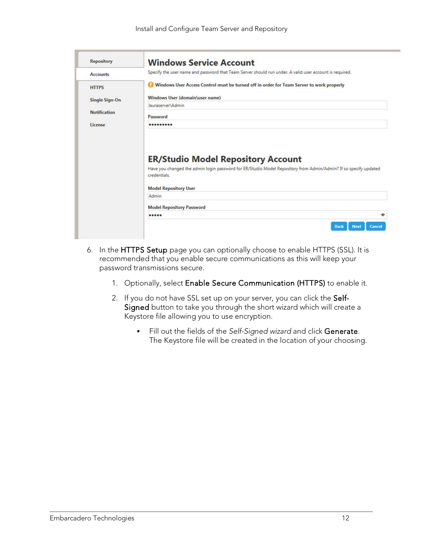| <b>Repository</b>   | <b>Windows Service Account</b>                                                                                                                                                                                |
|---------------------|---------------------------------------------------------------------------------------------------------------------------------------------------------------------------------------------------------------|
| <b>Accounts</b>     | Specify the user name and password that Team Server should run under. A valid user account is required.                                                                                                       |
| <b>HTTPS</b>        | Windows User Access Control must be turned off in order for Team Server to work properly                                                                                                                      |
| Single Sign-On      | Windows User (domain\user name)                                                                                                                                                                               |
|                     | lauraserver\Admin                                                                                                                                                                                             |
| <b>Notification</b> | Password                                                                                                                                                                                                      |
|                     |                                                                                                                                                                                                               |
| License             |                                                                                                                                                                                                               |
|                     | <b>ER/Studio Model Repository Account</b><br>Have you changed the admin login password for ER/Studio Model Repository from Admin/Admin? If so specify updated<br>credentials.<br><b>Model Repository User</b> |
|                     | Admin                                                                                                                                                                                                         |
|                     | <b>Model Repository Password</b>                                                                                                                                                                              |

- 6. In the HTTPS Setup page you can optionally choose to enable HTTPS (SSL). It is recommended that you enable secure communications as this will keep your password transmissions secure.
	- 1. Optionally, select Enable Secure Communication (HTTPS) to enable it.
	- 2. If you do not have SSL set up on your server, you can click the Self-Signed button to take you through the short wizard which will create a Keystore file allowing you to use encryption.
		- Fill out the fields of the *Self-Signed wizard* and click Generate. The Keystore file will be created in the location of your choosing.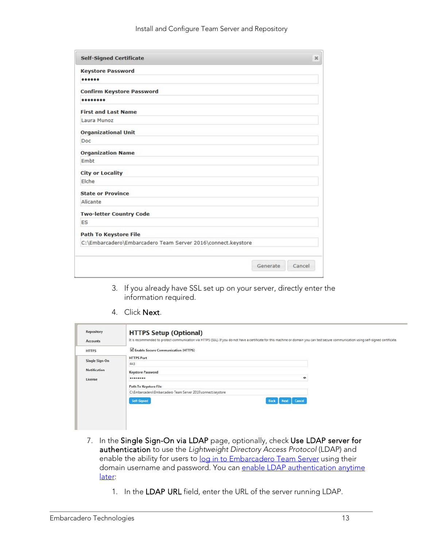| <b>Self-Signed Certificate</b>                               | $\mathcal{H}$      |
|--------------------------------------------------------------|--------------------|
| <b>Keystore Password</b>                                     |                    |
| 000000                                                       |                    |
| <b>Confirm Keystore Password</b>                             |                    |
| 00000000                                                     |                    |
| <b>First and Last Name</b>                                   |                    |
| Laura Munoz                                                  |                    |
| <b>Organizational Unit</b>                                   |                    |
| Doc                                                          |                    |
| <b>Organization Name</b>                                     |                    |
| Embt                                                         |                    |
| <b>City or Locality</b>                                      |                    |
| Elche                                                        |                    |
| <b>State or Province</b>                                     |                    |
| Alicante                                                     |                    |
| <b>Two-letter Country Code</b>                               |                    |
| ES                                                           |                    |
| <b>Path To Keystore File</b>                                 |                    |
| C:\Embarcadero\Embarcadero Team Server 2016\connect.keystore |                    |
|                                                              |                    |
|                                                              | Generate<br>Cancel |

- 3. If you already have SSL set up on your server, directly enter the information required.
- 4. Click Next.

| <b>HTTPS Setup (Optional)</b><br>It is recommended to protect communication via HTTPS (SSL). If you do not have a certificate for this machine or domain you can test secure communication using self-signed certificate. |  |
|---------------------------------------------------------------------------------------------------------------------------------------------------------------------------------------------------------------------------|--|
| Enable Secure Communication (HTTPS)                                                                                                                                                                                       |  |
| <b>HTTPS Port</b>                                                                                                                                                                                                         |  |
| 443                                                                                                                                                                                                                       |  |
| <b>Keystore Password</b>                                                                                                                                                                                                  |  |
| ۰<br>                                                                                                                                                                                                                     |  |
| <b>Path To Keystore File</b>                                                                                                                                                                                              |  |
| C:\Embarcadero\Embarcadero Team Server 2016\connect.keystore                                                                                                                                                              |  |
| Self-Signed<br>Cancel<br>Back<br>Next                                                                                                                                                                                     |  |
|                                                                                                                                                                                                                           |  |

- 7. In the Single Sign-On via LDAP page, optionally, check Use LDAP server for authentication to use the *Lightweight Directory Access Protocol* (LDAP) and enable the ability for users to [log in to Embarcadero Team Server](http://docwiki.embarcadero.com/TeamServer/ERStudio/2016/en/Connecting_to_Embarcadero_Team_Server) using their domain username and password. You can enable LDAP authentication anytime [later:](#page-15-0)
	- 1. In the LDAP URL field, enter the URL of the server running LDAP.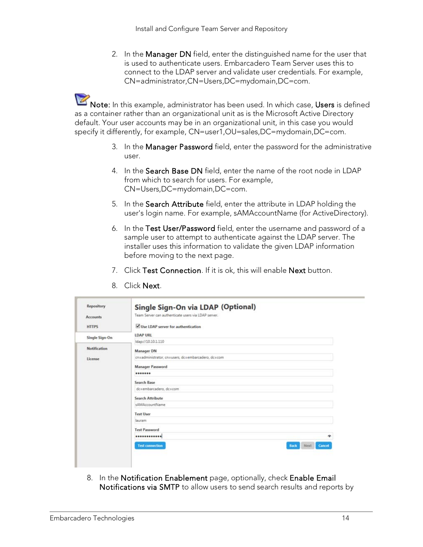2. In the Manager DN field, enter the distinguished name for the user that is used to authenticate users. Embarcadero Team Server uses this to connect to the LDAP server and validate user credentials. For example, CN=administrator,CN=Users,DC=mydomain,DC=com.

Note: In this example, administrator has been used. In which case, Users is defined as a container rather than an organizational unit as is the Microsoft Active Directory default. Your user accounts may be in an organizational unit, in this case you would specify it differently, for example, CN=user1,OU=sales,DC=mydomain,DC=com.

- 3. In the Manager Password field, enter the password for the administrative user.
- 4. In the Search Base DN field, enter the name of the root node in LDAP from which to search for users. For example, CN=Users,DC=mydomain,DC=com.
- 5. In the Search Attribute field, enter the attribute in LDAP holding the user's login name. For example, sAMAccountName (for ActiveDirectory).
- 6. In the Test User/Password field, enter the username and password of a sample user to attempt to authenticate against the LDAP server. The installer uses this information to validate the given LDAP information before moving to the next page.
- 7. Click Test Connection. If it is ok, this will enable Next button.

| <b>HTTPS</b>        | V Use LDAP server for authentication               |                                      |
|---------------------|----------------------------------------------------|--------------------------------------|
| Single Sign-On      | <b>LDAP URL</b>                                    |                                      |
|                     | Idap://10.10.1.110                                 |                                      |
| <b>Notification</b> | <b>Manager DN</b>                                  |                                      |
| License             | cn=administrator, cn=users, dc=embarcadero, dc=com |                                      |
|                     | <b>Manager Password</b>                            |                                      |
|                     |                                                    |                                      |
|                     | Search Base                                        |                                      |
|                     | dc=embarcadero, dc=com                             |                                      |
|                     | <b>Search Attribute</b>                            |                                      |
|                     | sAMAccountName                                     |                                      |
|                     | <b>Test User</b>                                   |                                      |
|                     | lauram                                             |                                      |
|                     | <b>Test Password</b>                               |                                      |
|                     | ************                                       | ۰                                    |
|                     | <b>Test connection</b>                             | Next<br><b>Cancel</b><br><b>Back</b> |

8. Click Next.

8. In the Notification Enablement page, optionally, check Enable Email Notifications via SMTP to allow users to send search results and reports by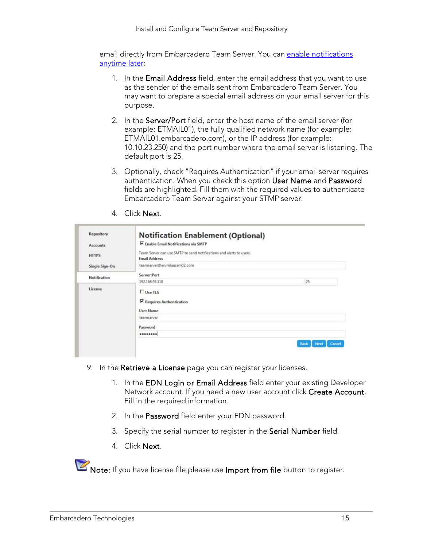email directly from Embarcadero Team Server. You can [enable notifications](#page-15-0)  [anytime later:](#page-15-0)

- 1. In the Email Address field, enter the email address that you want to use as the sender of the emails sent from Embarcadero Team Server. You may want to prepare a special email address on your email server for this purpose.
- 2. In the Server/Port field, enter the host name of the email server (for example: ETMAIL01), the fully qualified network name (for example: ETMAIL01.embarcadero.com), or the IP address (for example: 10.10.23.250) and the port number where the email server is listening. The default port is 25.
- 3. Optionally, check "Requires Authentication" if your email server requires authentication. When you check this option User Name and Password fields are highlighted. Fill them with the required values to authenticate Embarcadero Team Server against your STMP server.
- 4. Click Next.

| Repository          | <b>Notification Enablement (Optional)</b>                                                   |                        |
|---------------------|---------------------------------------------------------------------------------------------|------------------------|
| <b>Accounts</b>     | Enable Email Notifications via SMTP                                                         |                        |
| <b>HTTPS</b>        | Team Server can use SMTP to send notifications and alerts to users.<br><b>Email Address</b> |                        |
| Single Sign-On      | teamserver@esvmlauram02.com                                                                 |                        |
| <b>Notification</b> | Server:Port                                                                                 |                        |
|                     | 192.168.95.110                                                                              | 25                     |
| License             | $Use TIS$<br>$\nabla$ Requires Authentication                                               |                        |
|                     | <b>User Name</b>                                                                            |                        |
|                     | teamserver                                                                                  |                        |
|                     | Password                                                                                    |                        |
|                     |                                                                                             |                        |
|                     |                                                                                             | Cancel<br>Back<br>Next |

- 9. In the Retrieve a License page you can register your licenses.
	- 1. In the EDN Login or Email Address field enter your existing Developer Network account. If you need a new user account click Create Account. Fill in the required information.
	- 2. In the Password field enter your EDN password.
	- 3. Specify the serial number to register in the Serial Number field.
	- 4. Click Next.

Note: If you have license file please use Import from file button to register.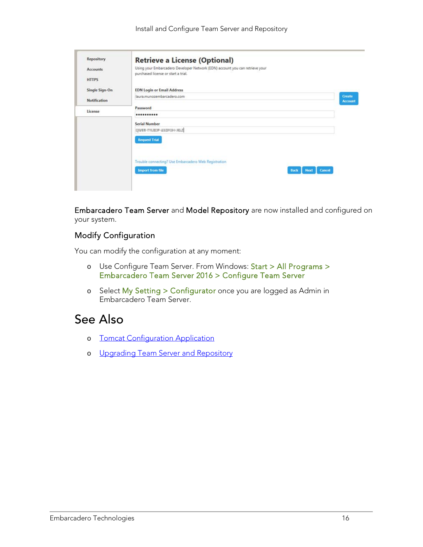| Repository          | <b>Retrieve a License (Optional)</b>                                                                                |                |
|---------------------|---------------------------------------------------------------------------------------------------------------------|----------------|
| <b>Accounts</b>     | Using your Embarcadero Developer Network (EDN) account you can retrieve your<br>purchased license or start a trial. |                |
| <b>HTTPS</b>        |                                                                                                                     |                |
| Single Sign-On      | <b>EDN Login or Email Address</b>                                                                                   |                |
|                     | laura.munozembarcadero.com                                                                                          | Create         |
| <b>Notification</b> |                                                                                                                     | <b>Account</b> |
| License             | Password<br>                                                                                                        |                |
|                     | Serial Number                                                                                                       |                |
|                     | CIVER-TILIESP-ESSPOI-HOLD                                                                                           |                |
|                     | <b>Request Trial</b>                                                                                                |                |
|                     |                                                                                                                     |                |
|                     | Trouble connecting? Use Embarcadero Web Registration                                                                |                |
|                     | <b>Import from file</b><br><b>Cancel</b><br><b>Next</b><br>Back                                                     |                |
|                     |                                                                                                                     |                |

Embarcadero Team Server and Model Repository are now installed and configured on your system.

#### <span id="page-15-0"></span>Modify Configuration

You can modify the configuration at any moment:

- o Use Configure Team Server. From Windows: Start > All Programs > Embarcadero Team Server 2016 > Configure Team Server
- o Select My Setting > Configurator once you are logged as Admin in Embarcadero Team Server.

- o [Tomcat Configuration Application](http://docwiki.embarcadero.com/TeamServer/ERStudio/2016/en/Tomcat_Configuration_Application)
- o [Upgrading Team Server and Repository](#page-16-0)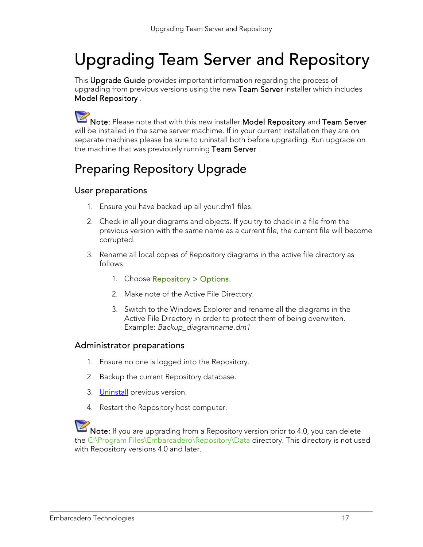## <span id="page-16-0"></span>Upgrading Team Server and Repository

This Upgrade Guide provides important information regarding the process of upgrading from previous versions using the new Team Server installer which includes Model Repository .

Note: Please note that with this new installer Model Repository and Team Server will be installed in the same server machime. If in your current installation they are on separate machines please be sure to uninstall both before upgrading. Run upgrade on the machine that was previously running Team Server.

## <span id="page-16-1"></span>Preparing Repository Upgrade

#### <span id="page-16-2"></span>User preparations

- 1. Ensure you have backed up all your.dm1 files.
- 2. Check in all your diagrams and objects. If you try to check in a file from the previous version with the same name as a current file, the current file will become corrupted.
- 3. Rename all local copies of Repository diagrams in the active file directory as follows:
	- 1. Choose Repository > Options.
	- 2. Make note of the Active File Directory.
	- 3. Switch to the Windows Explorer and rename all the diagrams in the Active File Directory in order to protect them of being overwriten. Example: *Backup\_diagramname.dm1*

#### <span id="page-16-3"></span>Administrator preparations

- 1. Ensure no one is logged into the Repository.
- 2. Backup the current Repository database.
- 3. [Uninstall](http://docwiki.embarcadero.com/TeamServer/ERStudio/2016/en/Uninstalling_ER/Studio_Repository) previous version.
- 4. Restart the Repository host computer.

Note: If you are upgrading from a Repository version prior to 4.0, you can delete the C:\Program Files\Embarcadero\Repository\Data directory. This directory is not used with Repository versions 4.0 and later.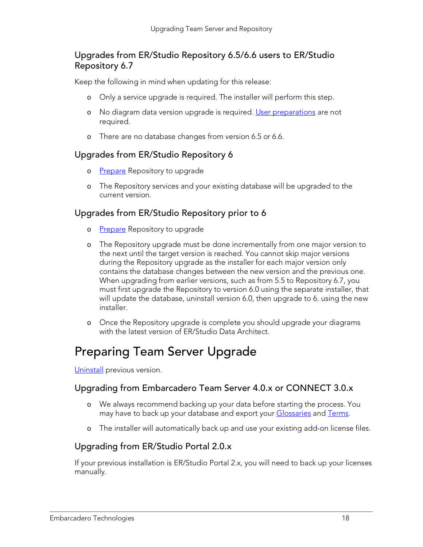#### <span id="page-17-0"></span>Upgrades from ER/Studio Repository 6.5/6.6 users to ER/Studio Repository 6.7

Keep the following in mind when updating for this release:

- o Only a service upgrade is required. The installer will perform this step.
- o No diagram data version upgrade is required. [User preparations](#page-16-2) are not required.
- o There are no database changes from version 6.5 or 6.6.

#### <span id="page-17-1"></span>Upgrades from ER/Studio Repository 6

- o [Prepare](#page-16-1) Repository to upgrade
- o The Repository services and your existing database will be upgraded to the current version.

#### <span id="page-17-2"></span>Upgrades from ER/Studio Repository prior to 6

- o [Prepare](#page-16-1) Repository to upgrade
- o The Repository upgrade must be done incrementally from one major version to the next until the target version is reached. You cannot skip major versions during the Repository upgrade as the installer for each major version only contains the database changes between the new version and the previous one. When upgrading from earlier versions, such as from 5.5 to Repository 6.7, you must first upgrade the Repository to version 6.0 using the separate installer, that will update the database, uninstall version 6.0, then upgrade to 6. using the new installer.
- o Once the Repository upgrade is complete you should upgrade your diagrams with the latest version of ER/Studio Data Architect.

### <span id="page-17-3"></span>Preparing Team Server Upgrade

<span id="page-17-4"></span>[Uninstall](http://docwiki.embarcadero.com/TeamServer/ERStudio/2016/en/Uninstalling_ER/Studio_Team_Server) previous version.

#### Upgrading from Embarcadero Team Server 4.0.x or CONNECT 3.0.x

- o We always recommend backing up your data before starting the process. You may have to back up your database and export your [Glossaries](http://docwiki.embarcadero.com/TeamServer/ERStudio/2016/en/Glossaries) and [Terms.](http://docwiki.embarcadero.com/TeamServer/ERStudio/2016/en/Terms)
- o The installer will automatically back up and use your existing add-on license files.

#### <span id="page-17-5"></span>Upgrading from ER/Studio Portal 2.0.x

If your previous installation is ER/Studio Portal 2.x, you will need to back up your licenses manually.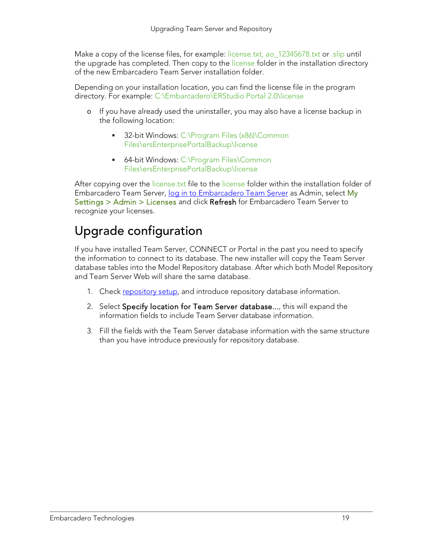Make a copy of the license files, for example: license.txt, ao 12345678.txt or .slip until the upgrade has completed. Then copy to the license folder in the installation directory of the new Embarcadero Team Server installation folder.

Depending on your installation location, you can find the license file in the program directory. For example: C:\Embarcadero\ERStudio Portal 2.0\license

- o If you have already used the uninstaller, you may also have a license backup in the following location:
	- 32-bit Windows: C:\Program Files (x86)\Common Files\ersEnterprisePortalBackup\license
	- 64-bit Windows: C:\Program Files\Common Files\ersEnterprisePortalBackup\license

After copying over the license.txt file to the license folder within the installation folder of Embarcadero Team Server, [log in to Embarcadero Team Server](http://docwiki.embarcadero.com/TeamServer/ERStudio/2016/en/Connecting_to_Embarcadero_Team_Server) as Admin, select My Settings > Admin > Licenses and click Refresh for Embarcadero Team Server to recognize your licenses.

### <span id="page-18-0"></span>Upgrade configuration

If you have installed Team Server, CONNECT or Portal in the past you need to specify the information to connect to its database. The new installer will copy the Team Server database tables into the Model Repository database. After which both Model Repository and Team Server Web will share the same database.

- 1. Check repository setup, and introduce repository database information.
- 2. Select Specify location for Team Server database..., this will expand the information fields to include Team Server database information.
- 3. Fill the fields with the Team Server database information with the same structure than you have introduce previously for repository database.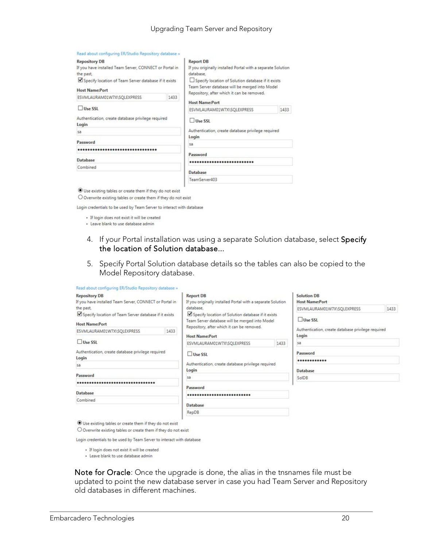#### Upgrading Team Server and Repository

| Read about configuring ER/Studio Repository database » |  |  |  |
|--------------------------------------------------------|--|--|--|
|--------------------------------------------------------|--|--|--|

| <b>Repository DB</b>                                        |      | <b>Report DB</b>                                                                                                                                   |      |  |  |
|-------------------------------------------------------------|------|----------------------------------------------------------------------------------------------------------------------------------------------------|------|--|--|
| If you have installed Team Server, CONNECT or Portal in     |      | If you originally installed Portal with a separate Solution                                                                                        |      |  |  |
| the past                                                    |      | database.                                                                                                                                          |      |  |  |
| Specify location of Team Server database if it exists       |      | Specify location of Solution database if it exists<br>Team Server database will be merged into Model<br>Repository, after which it can be removed. |      |  |  |
| <b>Host Name:Port</b>                                       |      |                                                                                                                                                    |      |  |  |
| ESVMLAURAM01W7X\SQLEXPRESS                                  | 1433 |                                                                                                                                                    |      |  |  |
|                                                             |      | <b>Host Name:Port</b>                                                                                                                              |      |  |  |
| Use SSL                                                     |      | ESVMLAURAM01W7X\SQLEXPRESS                                                                                                                         | 1433 |  |  |
| Authentication, create database privilege required<br>Login |      | Use SSL                                                                                                                                            |      |  |  |
| sa                                                          |      | Authentication, create database privilege required                                                                                                 |      |  |  |
| Password                                                    |      | Login                                                                                                                                              |      |  |  |
|                                                             |      | sa                                                                                                                                                 |      |  |  |
|                                                             |      | Password                                                                                                                                           |      |  |  |
| Database                                                    |      |                                                                                                                                                    |      |  |  |
| Combined                                                    |      |                                                                                                                                                    |      |  |  |
|                                                             |      | Database                                                                                                                                           |      |  |  |
|                                                             |      | TeamServer403                                                                                                                                      |      |  |  |
|                                                             |      |                                                                                                                                                    |      |  |  |

 $\textcircled{\small{\textbf{0}}}$  Use existing tables or create them if they do not exist

 $\bigcirc$  Overwrite existing tables or create them if they do not exist

Login credentials to be used by Team Server to interact with database

- · If login does not exist it will be created
- · Leave blank to use database admin
- 4. If your Portal installation was using a separate Solution database, select Specify the location of Solution database...
- 5. Specify Portal Solution database details so the tables can also be copied to the Model Repository database.

| <b>Repository DB</b><br>If you have installed Team Server, CONNECT or Portal in<br>the past.<br>Specify location of Team Server database if it exists<br><b>Host Name:Port</b> |      | <b>Report DB</b><br>If you originally installed Portal with a separate Solution<br>database.<br>Specify location of Solution database if it exists<br>Team Server database will be merged into Model<br>Repository, after which it can be removed. |      | <b>Solution DB</b><br><b>Host Name:Port</b>                 |      |  |
|--------------------------------------------------------------------------------------------------------------------------------------------------------------------------------|------|----------------------------------------------------------------------------------------------------------------------------------------------------------------------------------------------------------------------------------------------------|------|-------------------------------------------------------------|------|--|
|                                                                                                                                                                                |      |                                                                                                                                                                                                                                                    |      | ESVMLAURAM01W7X\SQLEXPRESS                                  | 1433 |  |
|                                                                                                                                                                                |      |                                                                                                                                                                                                                                                    |      | Use SSL                                                     |      |  |
| ESVMLAURAM01W7X\SQLEXPRESS                                                                                                                                                     | 1433 | <b>Host Name:Port</b>                                                                                                                                                                                                                              |      | Authentication, create database privilege required<br>Login |      |  |
| Use SSL<br>Authentication, create database privilege required<br>Login                                                                                                         |      | ESVMLAURAM01W7X\SQLEXPRESS                                                                                                                                                                                                                         | 1433 | Sã.                                                         |      |  |
|                                                                                                                                                                                |      | Use SSL                                                                                                                                                                                                                                            |      | Password                                                    |      |  |
| 5a                                                                                                                                                                             |      | Authentication, create database privilege required<br>Login                                                                                                                                                                                        |      |                                                             |      |  |
|                                                                                                                                                                                |      |                                                                                                                                                                                                                                                    |      | <b>Database</b>                                             |      |  |
| Password                                                                                                                                                                       |      | sa                                                                                                                                                                                                                                                 |      | SolDB                                                       |      |  |
|                                                                                                                                                                                |      | Password                                                                                                                                                                                                                                           |      |                                                             |      |  |
| <b>Database</b>                                                                                                                                                                |      |                                                                                                                                                                                                                                                    |      |                                                             |      |  |
| Combined                                                                                                                                                                       |      |                                                                                                                                                                                                                                                    |      |                                                             |      |  |
|                                                                                                                                                                                |      | Database                                                                                                                                                                                                                                           |      |                                                             |      |  |
|                                                                                                                                                                                |      | RepDB                                                                                                                                                                                                                                              |      |                                                             |      |  |

 $\bigcirc$  Overwrite existing tables or create them if they do not exist

Login credentials to be used by Team Server to interact with database

· If login does not exist it will be created

· Leave blank to use database admin

Note for Oracle: Once the upgrade is done, the alias in the tnsnames file must be updated to point the new database server in case you had Team Server and Repository old databases in different machines.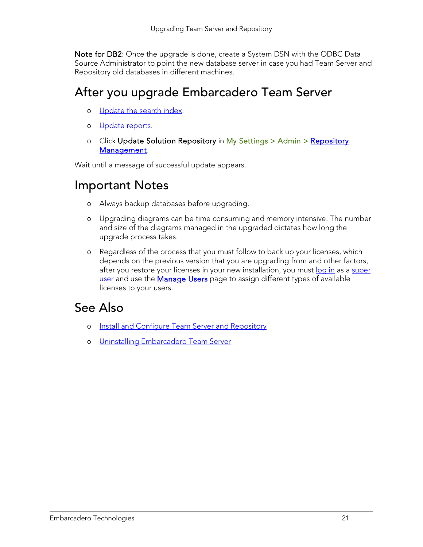Note for DB2: Once the upgrade is done, create a System DSN with the ODBC Data Source Administrator to point the new database server in case you had Team Server and Repository old databases in different machines.

### <span id="page-20-0"></span>After you upgrade Embarcadero Team Server

- o [Update the search index.](#page-21-0)
- o [Update reports.](#page-22-0)
- o Click Update Solution [Repository](http://docwiki.embarcadero.com/TeamServer/ERStudio/2016/en/Repository_Management) in My Settings > Admin > Repository [Management.](http://docwiki.embarcadero.com/TeamServer/ERStudio/2016/en/Repository_Management)

Wait until a message of successful update appears.

### <span id="page-20-1"></span>Important Notes

- o Always backup databases before upgrading.
- o Upgrading diagrams can be time consuming and memory intensive. The number and size of the diagrams managed in the upgraded dictates how long the upgrade process takes.
- o Regardless of the process that you must follow to back up your licenses, which depends on the previous version that you are upgrading from and other factors, after you restore your licenses in your new installation, you must [log in](http://docwiki.embarcadero.com/TeamServer/ERStudio/2016/en/Connecting_to_Embarcadero_Team_Server) as a super [user](http://docwiki.embarcadero.com/TeamServer/ERStudio/2016/en/Overview_of_User_Roles%23Super_User) and use the **Manage Users** page to assign different types of available licenses to your users.

- o [Install and Configure Team Server and Repository](#page-7-0)
- o [Uninstalling Embarcadero Team Server](#page-23-0)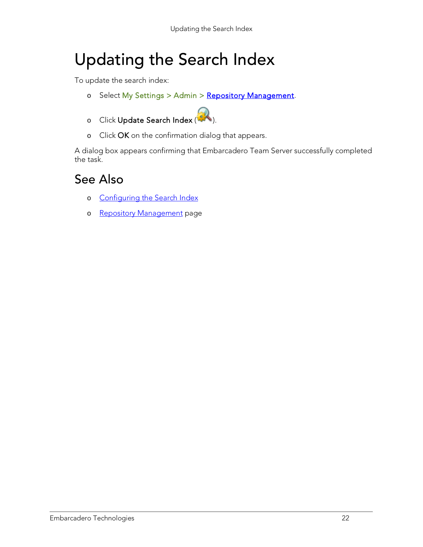## <span id="page-21-0"></span>Updating the Search Index

To update the search index:

- o Select My Settings > Admin > [Repository Management.](http://docwiki.embarcadero.com/TeamServer/ERStudio/2016/en/Repository_Management)
- o Click Update Search Index (
- o Click OK on the confirmation dialog that appears.

A dialog box appears confirming that Embarcadero Team Server successfully completed the task.

- o [Configuring the Search Index](http://docwiki.embarcadero.com/TeamServer/ERStudio/2016/en/Configuring_the_Search_Index)
- o [Repository Management](http://docwiki.embarcadero.com/TeamServer/ERStudio/2016/en/Repository_Management) page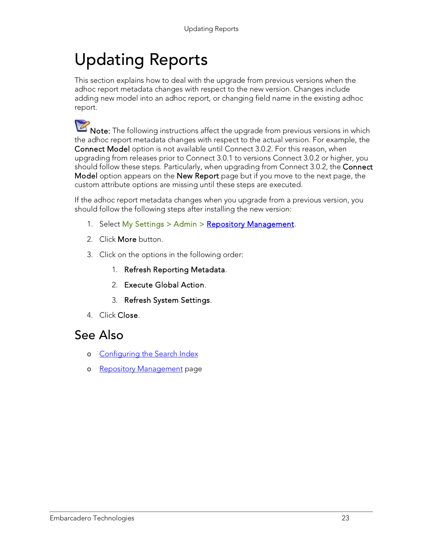## <span id="page-22-0"></span>Updating Reports

This section explains how to deal with the upgrade from previous versions when the adhoc report metadata changes with respect to the new version. Changes include adding new model into an adhoc report, or changing field name in the existing adhoc report.

Note: The following instructions affect the upgrade from previous versions in which the adhoc report metadata changes with respect to the actual version. For example, the Connect Model option is not available until Connect 3.0.2. For this reason, when upgrading from releases prior to Connect 3.0.1 to versions Connect 3.0.2 or higher, you should follow these steps. Particularly, when upgrading from Connect 3.0.2, the Connect Model option appears on the New Report page but if you move to the next page, the custom attribute options are missing until these steps are executed.

If the adhoc report metadata changes when you upgrade from a previous version, you should follow the following steps after installing the new version:

- 1. Select My Settings > Admin > [Repository Management.](http://docwiki.embarcadero.com/TeamServer/ERStudio/2016/en/Repository_Management)
- 2. Click More button.
- 3. Click on the options in the following order:
	- 1. Refresh Reporting Metadata.
	- 2. Execute Global Action.
	- 3. Refresh System Settings.
- 4. Click Close.

- o [Configuring the Search Index](http://docwiki.embarcadero.com/TeamServer/ERStudio/2016/en/Configuring_the_Search_Index)
- o [Repository Management](http://docwiki.embarcadero.com/TeamServer/ERStudio/2016/en/Repository_Management) page